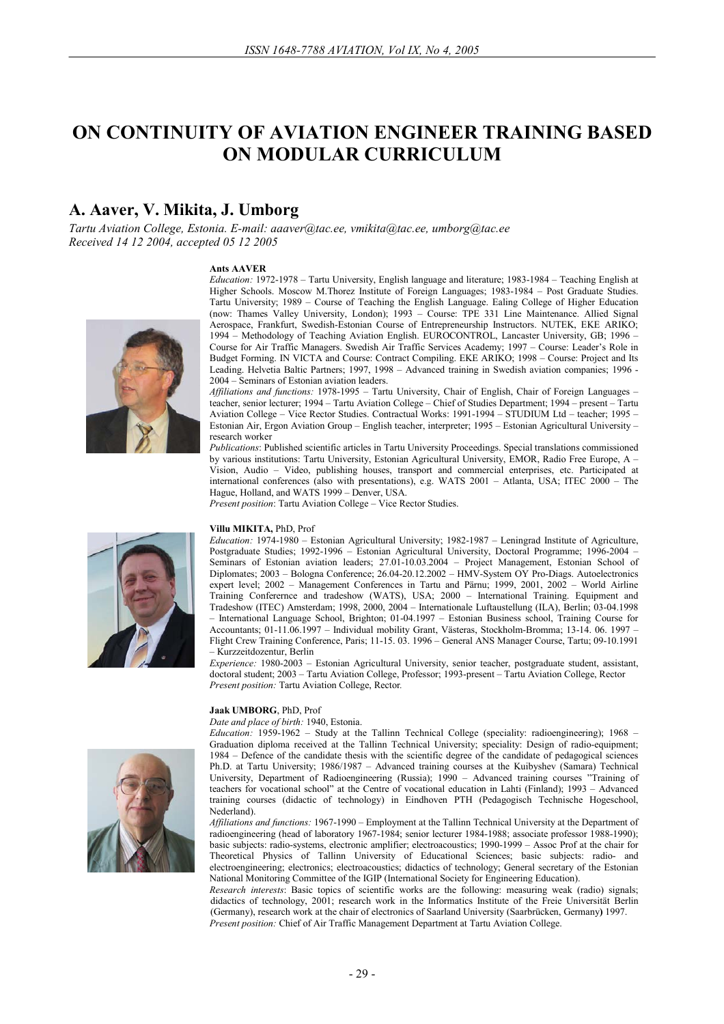# **ON CONTINUITY OF AVIATION ENGINEER TRAINING BASED ON MODULAR CURRICULUM**

## **A. Aaver, V. Mikita, J. Umborg**

*Tartu Aviation College, Estonia. E-mail: aaaver@tac.ee, vmikita@tac.ee, umborg@tac.ee Received 14 12 2004, accepted 05 12 2005* 

#### **Ants AAVER**



*Education:* 1972-1978 – Tartu University, English language and literature; 1983-1984 – Teaching English at Higher Schools. Moscow M.Thorez Institute of Foreign Languages; 1983-1984 – Post Graduate Studies. Tartu University; 1989 – Course of Teaching the English Language. Ealing College of Higher Education (now: Thames Valley University, London); 1993 – Course: TPE 331 Line Maintenance. Allied Signal Aerospace, Frankfurt, Swedish-Estonian Course of Entrepreneurship Instructors. NUTEK, EKE ARIKO; 1994 – Methodology of Teaching Aviation English. EUROCONTROL, Lancaster University, GB; 1996 – Course for Air Traffic Managers. Swedish Air Traffic Services Academy; 1997 – Course: Leader's Role in Budget Forming. IN VICTA and Course: Contract Compiling. EKE ARIKO; 1998 – Course: Project and Its Leading. Helvetia Baltic Partners; 1997, 1998 – Advanced training in Swedish aviation companies; 1996 - 2004 – Seminars of Estonian aviation leaders.

*Affiliations and functions:* 1978-1995 – Tartu University, Chair of English, Chair of Foreign Languages – teacher, senior lecturer; 1994 – Tartu Aviation College – Chief of Studies Department; 1994 – present – Tartu Aviation College – Vice Rector Studies. Contractual Works: 1991-1994 – STUDIUM Ltd – teacher; 1995 – Estonian Air, Ergon Aviation Group – English teacher, interpreter; 1995 – Estonian Agricultural University – research worker

*Publications*: Published scientific articles in Tartu University Proceedings. Special translations commissioned by various institutions: Tartu University, Estonian Agricultural University, EMOR, Radio Free Europe, A – Vision, Audio – Video, publishing houses, transport and commercial enterprises, etc. Participated at international conferences (also with presentations), e.g. WATS 2001 – Atlanta, USA; ITEC 2000 – The Hague, Holland, and WATS 1999 – Denver, USA.

*Present position*: Tartu Aviation College – Vice Rector Studies.

#### **Villu MIKITA,** PhD, Prof

*Education:* 1974-1980 – Estonian Agricultural University; 1982-1987 – Leningrad Institute of Agriculture, Postgraduate Studies; 1992-1996 – Estonian Agricultural University, Doctoral Programme; 1996-2004 – Seminars of Estonian aviation leaders; 27.01-10.03.2004 – Project Management, Estonian School of Diplomates; 2003 – Bologna Conference; 26.04-20.12.2002 – HMV-System OY Pro-Diags. Autoelectronics expert level; 2002 – Management Conferences in Tartu and Pärnu; 1999, 2001, 2002 – World Airline Training Conferernce and tradeshow (WATS), USA; 2000 – International Training. Equipment and Tradeshow (ITEC) Amsterdam; 1998, 2000, 2004 – Internationale Luftaustellung (ILA), Berlin; 03-04.1998 – International Language School, Brighton; 01-04.1997 – Estonian Business school, Training Course for Accountants; 01-11.06.1997 – Individual mobility Grant, Västeras, Stockholm-Bromma; 13-14. 06. 1997 –

Flight Crew Training Conference, Paris; 11-15. 03. 1996 – General ANS Manager Course, Tartu; 09-10.1991 – Kurzzeitdozentur, Berlin

*Experience:* 1980-2003 – Estonian Agricultural University, senior teacher, postgraduate student, assistant, doctoral student; 2003 – Tartu Aviation College, Professor; 1993-present – Tartu Aviation College, Rector *Present position:* Tartu Aviation College, Rector*.*

#### **Jaak UMBORG**, PhD, Prof

*Date and place of birth:* 1940, Estonia.

*Education:* 1959-1962 – Study at the Tallinn Technical College (speciality: radioengineering); 1968 – Graduation diploma received at the Tallinn Technical University; speciality: Design of radio-equipment; 1984 – Defence of the candidate thesis with the scientific degree of the candidate of pedagogical sciences Ph.D. at Tartu University; 1986/1987 – Advanced training courses at the Kuibyshev (Samara) Technical University, Department of Radioengineering (Russia); 1990 – Advanced training courses "Training of teachers for vocational school" at the Centre of vocational education in Lahti (Finland); 1993 – Advanced training courses (didactic of technology) in Eindhoven PTH (Pedagogisch Technische Hogeschool, Nederland).

*Affiliations and functions:* 1967-1990 – Employment at the Tallinn Technical University at the Department of radioengineering (head of laboratory 1967-1984; senior lecturer 1984-1988; associate professor 1988-1990); basic subjects: radio-systems, electronic amplifier; electroacoustics; 1990-1999 – Assoc Prof at the chair for Theoretical Physics of Tallinn University of Educational Sciences; basic subjects: radio- and electroengineering; electronics; electroacoustics; didactics of technology; General secretary of the Estonian National Monitoring Committee of the IGIP (International Society for Engineering Education).

*Research interests*: Basic topics of scientific works are the following: measuring weak (radio) signals; didactics of technology, 2001; research work in the Informatics Institute of the Freie Universität Berlin (Germany), research work at the chair of electronics of Saarland University (Saarbrücken, Germany**)** 1997. *Present position:* Chief of Air Traffic Management Department at Tartu Aviation College.



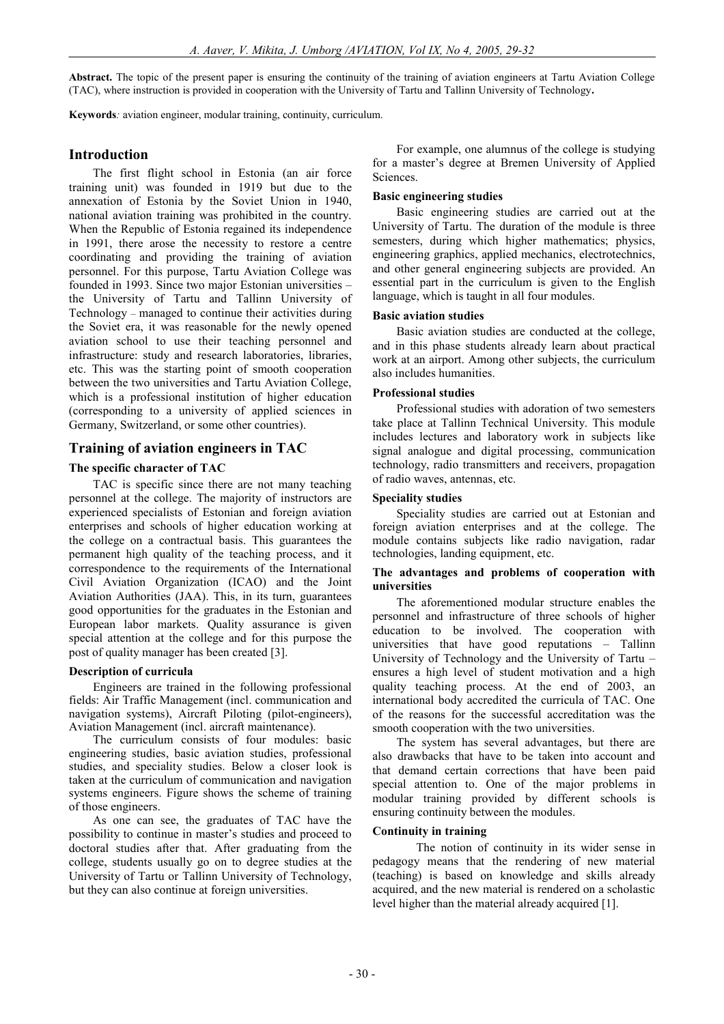**Abstract.** The topic of the present paper is ensuring the continuity of the training of aviation engineers at Tartu Aviation College (TAC), where instruction is provided in cooperation with the University of Tartu and Tallinn University of Technology**.** 

**Keywords***:* aviation engineer, modular training, continuity, curriculum.

## **Introduction**

The first flight school in Estonia (an air force training unit) was founded in 1919 but due to the annexation of Estonia by the Soviet Union in 1940, national aviation training was prohibited in the country. When the Republic of Estonia regained its independence in 1991, there arose the necessity to restore a centre coordinating and providing the training of aviation personnel. For this purpose, Tartu Aviation College was founded in 1993. Since two major Estonian universities – the University of Tartu and Tallinn University of Technology – managed to continue their activities during the Soviet era, it was reasonable for the newly opened aviation school to use their teaching personnel and infrastructure: study and research laboratories, libraries, etc. This was the starting point of smooth cooperation between the two universities and Tartu Aviation College, which is a professional institution of higher education (corresponding to a university of applied sciences in Germany, Switzerland, or some other countries).

## **Training of aviation engineers in TAC**

#### **The specific character of TAC**

TAC is specific since there are not many teaching personnel at the college. The majority of instructors are experienced specialists of Estonian and foreign aviation enterprises and schools of higher education working at the college on a contractual basis. This guarantees the permanent high quality of the teaching process, and it correspondence to the requirements of the International Civil Aviation Organization (ICAO) and the Joint Aviation Authorities (JAA). This, in its turn, guarantees good opportunities for the graduates in the Estonian and European labor markets. Quality assurance is given special attention at the college and for this purpose the post of quality manager has been created [3].

#### **Description of curricula**

Engineers are trained in the following professional fields: Air Traffic Management (incl. communication and navigation systems), Aircraft Piloting (pilot-engineers), Aviation Management (incl. aircraft maintenance).

The curriculum consists of four modules: basic engineering studies, basic aviation studies, professional studies, and speciality studies. Below a closer look is taken at the curriculum of communication and navigation systems engineers. Figure shows the scheme of training of those engineers.

As one can see, the graduates of TAC have the possibility to continue in master's studies and proceed to doctoral studies after that. After graduating from the college, students usually go on to degree studies at the University of Tartu or Tallinn University of Technology, but they can also continue at foreign universities.

For example, one alumnus of the college is studying for a master's degree at Bremen University of Applied Sciences.

#### **Basic engineering studies**

Basic engineering studies are carried out at the University of Tartu. The duration of the module is three semesters, during which higher mathematics; physics, engineering graphics, applied mechanics, electrotechnics, and other general engineering subjects are provided. An essential part in the curriculum is given to the English language, which is taught in all four modules.

#### **Basic aviation studies**

Basic aviation studies are conducted at the college, and in this phase students already learn about practical work at an airport. Among other subjects, the curriculum also includes humanities.

#### **Professional studies**

Professional studies with adoration of two semesters take place at Tallinn Technical University. This module includes lectures and laboratory work in subjects like signal analogue and digital processing, communication technology, radio transmitters and receivers, propagation of radio waves, antennas, etc.

#### **Speciality studies**

Speciality studies are carried out at Estonian and foreign aviation enterprises and at the college. The module contains subjects like radio navigation, radar technologies, landing equipment, etc.

#### **The advantages and problems of cooperation with universities**

The aforementioned modular structure enables the personnel and infrastructure of three schools of higher education to be involved. The cooperation with universities that have good reputations – Tallinn University of Technology and the University of Tartu – ensures a high level of student motivation and a high quality teaching process. At the end of 2003, an international body accredited the curricula of TAC. One of the reasons for the successful accreditation was the smooth cooperation with the two universities.

The system has several advantages, but there are also drawbacks that have to be taken into account and that demand certain corrections that have been paid special attention to. One of the major problems in modular training provided by different schools is ensuring continuity between the modules.

### **Continuity in training**

The notion of continuity in its wider sense in pedagogy means that the rendering of new material (teaching) is based on knowledge and skills already acquired, and the new material is rendered on a scholastic level higher than the material already acquired [1].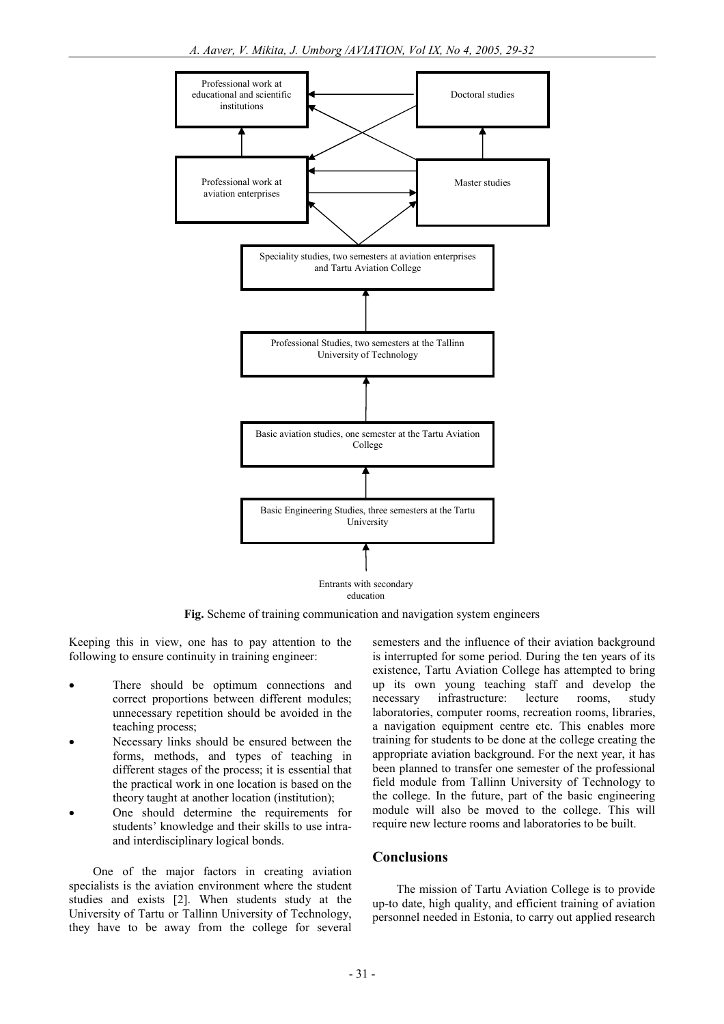

education

**Fig.** Scheme of training communication and navigation system engineers

Keeping this in view, one has to pay attention to the following to ensure continuity in training engineer:

- There should be optimum connections and correct proportions between different modules; unnecessary repetition should be avoided in the teaching process;
- Necessary links should be ensured between the forms, methods, and types of teaching in different stages of the process; it is essential that the practical work in one location is based on the theory taught at another location (institution);
- One should determine the requirements for students' knowledge and their skills to use intraand interdisciplinary logical bonds.

One of the major factors in creating aviation specialists is the aviation environment where the student studies and exists [2]. When students study at the University of Tartu or Tallinn University of Technology, they have to be away from the college for several semesters and the influence of their aviation background is interrupted for some period. During the ten years of its existence, Tartu Aviation College has attempted to bring up its own young teaching staff and develop the necessary infrastructure: lecture rooms, study laboratories, computer rooms, recreation rooms, libraries, a navigation equipment centre etc. This enables more training for students to be done at the college creating the appropriate aviation background. For the next year, it has been planned to transfer one semester of the professional field module from Tallinn University of Technology to the college. In the future, part of the basic engineering module will also be moved to the college. This will require new lecture rooms and laboratories to be built.

#### **Conclusions**

The mission of Tartu Aviation College is to provide up-to date, high quality, and efficient training of aviation personnel needed in Estonia, to carry out applied research